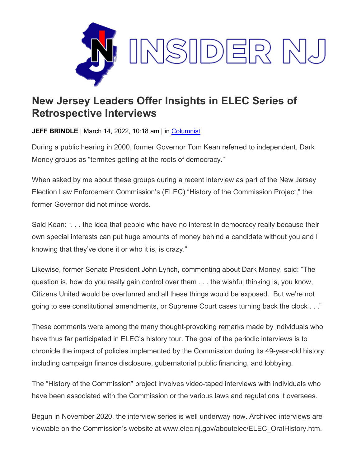

## **New Jersey Leaders Offer Insights in ELEC Series of Retrospective Interviews**

**JEFF BRINDLE** | March 14, 2022, 10:18 am | in [Columnist](https://www.insidernj.com/category/columnist/)

During a public hearing in 2000, former Governor Tom Kean referred to independent, Dark Money groups as "termites getting at the roots of democracy."

When asked by me about these groups during a recent interview as part of the New Jersey Election Law Enforcement Commission's (ELEC) "History of the Commission Project," the former Governor did not mince words.

Said Kean: ". . . the idea that people who have no interest in democracy really because their own special interests can put huge amounts of money behind a candidate without you and I knowing that they've done it or who it is, is crazy."

Likewise, former Senate President John Lynch, commenting about Dark Money, said: "The question is, how do you really gain control over them . . . the wishful thinking is, you know, Citizens United would be overturned and all these things would be exposed. But we're not going to see constitutional amendments, or Supreme Court cases turning back the clock . . ."

These comments were among the many thought-provoking remarks made by individuals who have thus far participated in ELEC's history tour. The goal of the periodic interviews is to chronicle the impact of policies implemented by the Commission during its 49-year-old history, including campaign finance disclosure, gubernatorial public financing, and lobbying.

The "History of the Commission" project involves video-taped interviews with individuals who have been associated with the Commission or the various laws and regulations it oversees.

Begun in November 2020, the interview series is well underway now. Archived interviews are viewable on the Commission's website at www.elec.nj.gov/aboutelec/ELEC\_OralHistory.htm.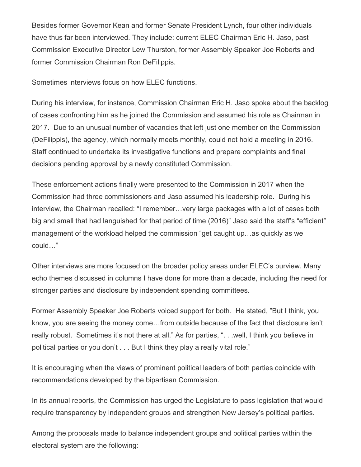Besides former Governor Kean and former Senate President Lynch, four other individuals have thus far been interviewed. They include: current ELEC Chairman Eric H. Jaso, past Commission Executive Director Lew Thurston, former Assembly Speaker Joe Roberts and former Commission Chairman Ron DeFilippis.

Sometimes interviews focus on how ELEC functions.

During his interview, for instance, Commission Chairman Eric H. Jaso spoke about the backlog of cases confronting him as he joined the Commission and assumed his role as Chairman in 2017. Due to an unusual number of vacancies that left just one member on the Commission (DeFilippis), the agency, which normally meets monthly, could not hold a meeting in 2016. Staff continued to undertake its investigative functions and prepare complaints and final decisions pending approval by a newly constituted Commission.

These enforcement actions finally were presented to the Commission in 2017 when the Commission had three commissioners and Jaso assumed his leadership role. During his interview, the Chairman recalled: "I remember…very large packages with a lot of cases both big and small that had languished for that period of time (2016)" Jaso said the staff's "efficient" management of the workload helped the commission "get caught up…as quickly as we could…"

Other interviews are more focused on the broader policy areas under ELEC's purview. Many echo themes discussed in columns I have done for more than a decade, including the need for stronger parties and disclosure by independent spending committees.

Former Assembly Speaker Joe Roberts voiced support for both. He stated, "But I think, you know, you are seeing the money come…from outside because of the fact that disclosure isn't really robust. Sometimes it's not there at all." As for parties, ". . .well, I think you believe in political parties or you don't . . . But I think they play a really vital role."

It is encouraging when the views of prominent political leaders of both parties coincide with recommendations developed by the bipartisan Commission.

In its annual reports, the Commission has urged the Legislature to pass legislation that would require transparency by independent groups and strengthen New Jersey's political parties.

Among the proposals made to balance independent groups and political parties within the electoral system are the following: